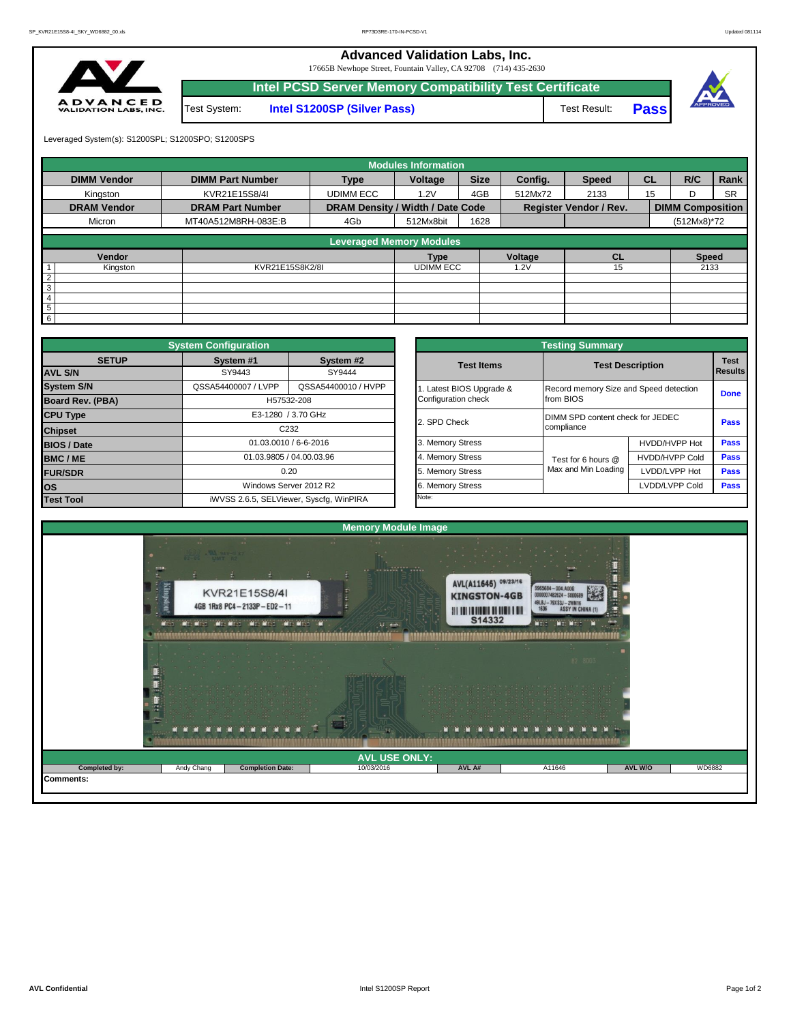**Advanced Validation Labs, Inc.** 

17665B Newhope Street, Fountain Valley, CA 92708 (714) 435-2630



|                |              | $1,0000$ 110 mm pc DMOVG I OMIGAN TWINT, OII 72700 17117 100 2000 |              |             |          |
|----------------|--------------|-------------------------------------------------------------------|--------------|-------------|----------|
|                |              | Intel PCSD Server Memory Compatibility Test Certificate           |              |             |          |
| E D<br>S, INC. | Test System: | <b>Intel S1200SP (Silver Pass)</b>                                | Test Result: | <b>Pass</b> | APPROVED |

Leveraged System(s): S1200SPL; S1200SPO; S1200SPS

|                    |                         |                                  | <b>Modules Information</b> |             |                                                                     |              |           |                         |           |
|--------------------|-------------------------|----------------------------------|----------------------------|-------------|---------------------------------------------------------------------|--------------|-----------|-------------------------|-----------|
| <b>DIMM Vendor</b> | <b>DIMM Part Number</b> | <b>Type</b>                      | Voltage                    | <b>Size</b> | Config.                                                             | <b>Speed</b> | <b>CL</b> | R/C                     | Rank      |
| Kingston           | KVR21E15S8/4I           | <b>UDIMM ECC</b>                 | 1.2V                       | 4GB         | 512Mx72                                                             | 2133         | 15        |                         | <b>SR</b> |
| <b>DRAM Vendor</b> | <b>DRAM Part Number</b> | DRAM Density / Width / Date Code |                            |             |                                                                     |              |           | <b>DIMM Composition</b> |           |
| Micron             | MT40A512M8RH-083E:B     | 4Gb                              | 512Mx8bit                  | 1628        |                                                                     |              |           | (512Mx8)*72             |           |
|                    |                         |                                  |                            |             |                                                                     |              |           |                         |           |
|                    |                         | <b>Leveraged Memory Modules</b>  |                            |             |                                                                     |              |           |                         |           |
| Vendor             |                         |                                  | <b>Type</b>                |             | <b>Register Vendor / Rev.</b><br>Voltage<br><b>CL</b><br>15<br>1.2V |              |           | <b>Speed</b>            |           |
| Kingston           | KVR21E15S8K2/8I         |                                  | <b>UDIMM ECC</b>           |             |                                                                     |              |           | 2133                    |           |
| $\overline{2}$     |                         |                                  |                            |             |                                                                     |              |           |                         |           |
| $\overline{3}$     |                         |                                  |                            |             |                                                                     |              |           |                         |           |
| $\overline{4}$     |                         |                                  |                            |             |                                                                     |              |           |                         |           |
| 5                  |                         |                                  |                            |             |                                                                     |              |           |                         |           |
| $6\overline{6}$    |                         |                                  |                            |             |                                                                     |              |           |                         |           |

|                         | <b>System Configuration</b> |                                         |                       | <b>Testing Summary</b>                                                                                                                                           |                       |             |
|-------------------------|-----------------------------|-----------------------------------------|-----------------------|------------------------------------------------------------------------------------------------------------------------------------------------------------------|-----------------------|-------------|
| <b>SETUP</b>            | System #1                   | System #2                               | <b>Test Items</b>     |                                                                                                                                                                  |                       | <b>Test</b> |
| <b>AVL S/N</b>          | SY9443                      | SY9444                                  |                       |                                                                                                                                                                  |                       | Results     |
| <b>System S/N</b>       | QSSA54400007 / LVPP         | QSSA54400010 / HVPP                     | Latest BIOS Upgrade & |                                                                                                                                                                  |                       | <b>Done</b> |
| <b>Board Rev. (PBA)</b> |                             | H57532-208                              | Configuration check   | from BIOS                                                                                                                                                        |                       |             |
| <b>CPU Type</b>         |                             | E3-1280 / 3.70 GHz                      | 2. SPD Check          |                                                                                                                                                                  |                       | <b>Pass</b> |
| <b>Chipset</b>          |                             | C <sub>232</sub>                        |                       | <b>Test Description</b><br>Record memory Size and Speed detection<br>DIMM SPD content check for JEDEC<br>compliance<br>Test for 6 hours @<br>Max and Min Loading |                       |             |
| <b>BIOS / Date</b>      |                             | 01.03.0010 / 6-6-2016                   | 3. Memory Stress      |                                                                                                                                                                  | HVDD/HVPP Hot         | <b>Pass</b> |
| <b>BMC/ME</b>           |                             | 01.03.9805 / 04.00.03.96                | 4. Memory Stress      |                                                                                                                                                                  | <b>HVDD/HVPP Cold</b> | Pass        |
| <b>FUR/SDR</b>          |                             | 0.20                                    | 5. Memory Stress      |                                                                                                                                                                  | LVDD/LVPP Hot         | Pass        |
| los                     |                             | Windows Server 2012 R2                  | 6. Memory Stress      |                                                                                                                                                                  | LVDD/LVPP Cold        | Pass        |
| <b>Test Tool</b>        |                             | iWVSS 2.6.5, SELViewer, Syscfq, WinPIRA | Note:                 |                                                                                                                                                                  |                       |             |

|              | <b>System Configuration</b> |                                         |                       | <b>Testing Summary</b>                 |                       |                               |  |  |
|--------------|-----------------------------|-----------------------------------------|-----------------------|----------------------------------------|-----------------------|-------------------------------|--|--|
| <b>SETUP</b> | System #1                   | System #2                               | <b>Test Items</b>     | <b>Test Description</b>                |                       | <b>Test</b><br><b>Results</b> |  |  |
|              | SY9443                      | SY9444                                  |                       |                                        |                       |                               |  |  |
|              | QSSA54400007 / LVPP         | QSSA54400010 / HVPP                     | Latest BIOS Upgrade & | Record memory Size and Speed detection |                       |                               |  |  |
| PBA)         |                             | H57532-208                              | Configuration check   | from BIOS                              |                       | <b>Done</b>                   |  |  |
|              |                             | E3-1280 / 3.70 GHz                      | 2. SPD Check          | DIMM SPD content check for JEDEC       |                       | Pass                          |  |  |
|              |                             | C <sub>232</sub>                        |                       | compliance                             |                       |                               |  |  |
|              |                             | 01.03.0010 / 6-6-2016                   | 3. Memory Stress      |                                        | HVDD/HVPP Hot         | Pass                          |  |  |
|              |                             | 01.03.9805 / 04.00.03.96                | 4. Memory Stress      | Test for 6 hours @                     | <b>HVDD/HVPP Cold</b> | Pass                          |  |  |
|              |                             | 0.20                                    | 5. Memory Stress      | Max and Min Loading                    | LVDD/LVPP Hot         | Pass                          |  |  |
|              |                             | Windows Server 2012 R2                  | 6. Memory Stress      |                                        | LVDD/LVPP Cold        | Pass                          |  |  |
|              |                             | iWVSS 2.6.5, SELViewer, Syscfq, WinPIRA | Note:                 |                                        |                       |                               |  |  |